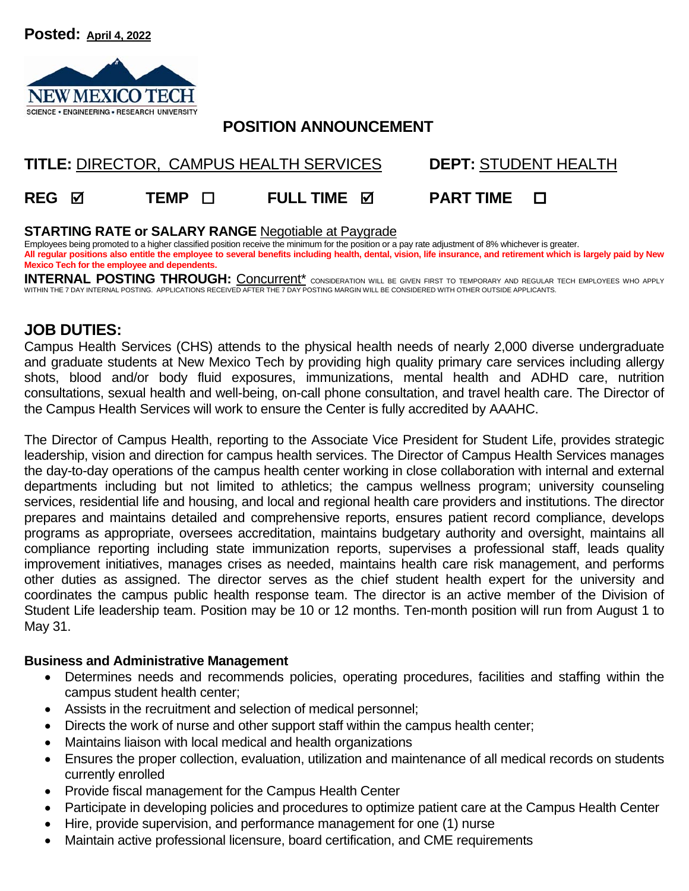**Posted: April 4, 2022** 



# **POSITION ANNOUNCEMENT**

# **TITLE:** DIRECTOR, CAMPUS HEALTH SERVICES **DEPT:** STUDENT HEALTH

**REG TEMP FULL TIME PART TIME** 

#### **STARTING RATE or SALARY RANGE** Negotiable at Paygrade

Employees being promoted to a higher classified position receive the minimum for the position or a pay rate adjustment of 8% whichever is greater. **All regular positions also entitle the employee to several benefits including health, dental, vision, life insurance, and retirement which is largely paid by New Mexico Tech for the employee and dependents.** 

INTERNAL POSTING THROUGH: Concurrent<sup>\*</sup> consideration will be given first to temporary and regular tech employees who apply WITHIN THE 7 DAY INTERNAL POSTING. APPLICATIONS RECEIVED AFTER THE 7 DAY POSTING MARGIN WILL BE CONSIDERED WITH OTHER OUTSIDE APPLICANTS.

## **JOB DUTIES:**

Campus Health Services (CHS) attends to the physical health needs of nearly 2,000 diverse undergraduate and graduate students at New Mexico Tech by providing high quality primary care services including allergy shots, blood and/or body fluid exposures, immunizations, mental health and ADHD care, nutrition consultations, sexual health and well-being, on-call phone consultation, and travel health care. The Director of the Campus Health Services will work to ensure the Center is fully accredited by AAAHC.

The Director of Campus Health, reporting to the Associate Vice President for Student Life, provides strategic leadership, vision and direction for campus health services. The Director of Campus Health Services manages the day-to-day operations of the campus health center working in close collaboration with internal and external departments including but not limited to athletics; the campus wellness program; university counseling services, residential life and housing, and local and regional health care providers and institutions. The director prepares and maintains detailed and comprehensive reports, ensures patient record compliance, develops programs as appropriate, oversees accreditation, maintains budgetary authority and oversight, maintains all compliance reporting including state immunization reports, supervises a professional staff, leads quality improvement initiatives, manages crises as needed, maintains health care risk management, and performs other duties as assigned. The director serves as the chief student health expert for the university and coordinates the campus public health response team. The director is an active member of the Division of Student Life leadership team. Position may be 10 or 12 months. Ten-month position will run from August 1 to May 31.

#### **Business and Administrative Management**

- Determines needs and recommends policies, operating procedures, facilities and staffing within the campus student health center;
- Assists in the recruitment and selection of medical personnel;
- Directs the work of nurse and other support staff within the campus health center;
- Maintains liaison with local medical and health organizations
- Ensures the proper collection, evaluation, utilization and maintenance of all medical records on students currently enrolled
- Provide fiscal management for the Campus Health Center
- Participate in developing policies and procedures to optimize patient care at the Campus Health Center
- Hire, provide supervision, and performance management for one (1) nurse
- Maintain active professional licensure, board certification, and CME requirements